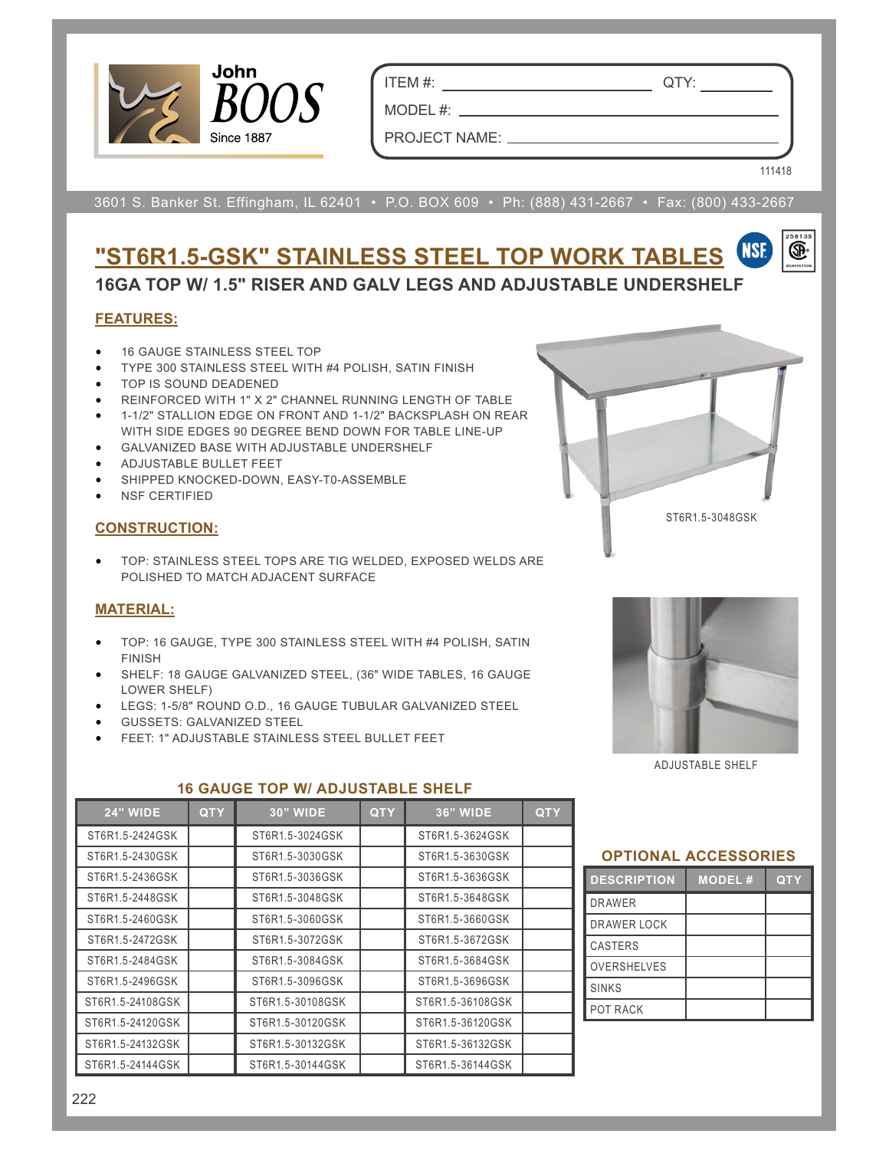

ITEM #: QTY:

MODEL #: PROJECT NAME:

111418

œ.

3601 S. Banker St. Effingham, IL 62401 • P.O. BOX 609 • Ph: (888) 431-2667 • Fax: (800) 433-2667

#### **NSF "ST6R1.5-GSK" STAINLESS STEEL TOP WORK TABLES 16GA TOP W/ 1.5" RISER AND GALV LEGS AND ADJUSTABLE UNDERSHELF**

# **FEATURES:**

- 16 GAUGE STAINLESS STEEL TOP
- TYPE 300 STAINLESS STEEL WITH #4 POLISH, SATIN FINISH
- TOP IS SOUND DEADENED
- REINFORCED WITH 1" X 2" CHANNEL RUNNING LENGTH OF TABLE
- 1-1/2" STALLION EDGE ON FRONT AND 1-1/2" BACKSPLASH ON REAR WITH SIDE EDGES 90 DEGREE BEND DOWN FOR TABLE LINE-UP
- GALVANIZED BASE WITH ADJUSTABLE UNDERSHELF
- ADJUSTABLE BULLET FEET
- SHIPPED KNOCKED-DOWN, EASY-T0-ASSEMBLE
- NSF CERTIFIED

#### **CONSTRUCTION:**

• TOP: STAINLESS STEEL TOPS ARE TIG WELDED, EXPOSED WELDS ARE POLISHED TO MATCH ADJACENT SURFACE

# **MATERIAL:**

- TOP: 16 GAUGE, TYPE 300 STAINLESS STEEL WITH #4 POLISH, SATIN FINISH
- SHELF: 18 GAUGE GALVANIZED STEEL, (36" WIDE TABLES, 16 GAUGE LOWER SHELF)
- LEGS: 1-5/8" ROUND O.D., 16 GAUGE TUBULAR GALVANIZED STEEL
- GUSSETS: GALVANIZED STEEL
- FEET: 1" ADJUSTABLE STAINLESS STEEL BULLET FEET



ST6R1.5-3048GSK

ADJUSTABLE SHELF

| <b>24" WIDE</b>  | <b>QTY</b> | <b>30" WIDE</b>  | <b>QTY</b> | <b>36" WIDE</b>  | <b>QTY</b> |
|------------------|------------|------------------|------------|------------------|------------|
| ST6R1.5-2424GSK  |            | ST6R1.5-3024GSK  |            | ST6R1.5-3624GSK  |            |
| ST6R1.5-2430GSK  |            | ST6R1.5-3030GSK  |            | ST6R1.5-3630GSK  |            |
| ST6R1.5-2436GSK  |            | ST6R1.5-3036GSK  |            | ST6R1.5-3636GSK  |            |
| ST6R1.5-2448GSK  |            | ST6R1.5-3048GSK  |            | ST6R1.5-3648GSK  |            |
| ST6R1.5-2460GSK  |            | ST6R1.5-3060GSK  |            | ST6R1.5-3660GSK  |            |
| ST6R1.5-2472GSK  |            | ST6R1.5-3072GSK  |            | ST6R1.5-3672GSK  |            |
| ST6R1.5-2484GSK  |            | ST6R1.5-3084GSK  |            | ST6R1.5-3684GSK  |            |
| ST6R1.5-2496GSK  |            | ST6R1.5-3096GSK  |            | ST6R1.5-3696GSK  |            |
| ST6R1.5-24108GSK |            | ST6R1.5-30108GSK |            | ST6R1.5-36108GSK |            |
| ST6R1.5-24120GSK |            | ST6R1.5-30120GSK |            | ST6R1.5-36120GSK |            |
| ST6R1.5-24132GSK |            | ST6R1.5-30132GSK |            | ST6R1.5-36132GSK |            |
| ST6R1.5-24144GSK |            | ST6R1.5-30144GSK |            | ST6R1.5-36144GSK |            |

# **16 GAUGE TOP W/ ADJUSTABLE SHELF**

# **OPTIONAL ACCESSORIES**

| <b>DESCRIPTION</b> | <b>MODEL#</b> | QT Y |
|--------------------|---------------|------|
| <b>DRAWER</b>      |               |      |
| DRAWER LOCK        |               |      |
| <b>CASTERS</b>     |               |      |
| <b>OVERSHELVES</b> |               |      |
| <b>SINKS</b>       |               |      |
| POT RACK           |               |      |